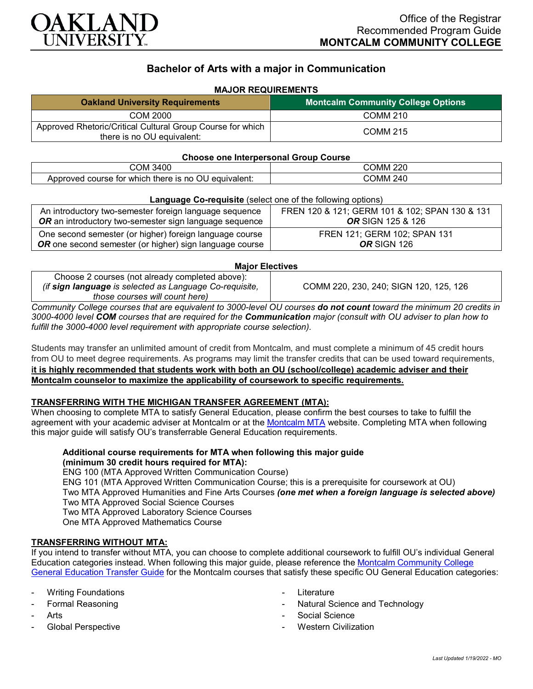

# **Bachelor of Arts with a major in Communication**

# **MAJOR REQUIREMENTS**

| <b>Oakland University Requirements</b>                                                   | <b>Montcalm Community College Options</b> |
|------------------------------------------------------------------------------------------|-------------------------------------------|
| COM 2000                                                                                 | <b>COMM 210</b>                           |
| Approved Rhetoric/Critical Cultural Group Course for which<br>there is no OU equivalent: | <b>COMM 215</b>                           |

### **Choose one Interpersonal Group Course**

| 3400<br>OM.                                                               | റാറ<br>. OMM ^<br>ZZU |
|---------------------------------------------------------------------------|-----------------------|
| there is no<br>' equivalent.<br>Approved<br>. course for<br>which<br>- UU | 240<br>COMM.          |

### **Language Co-requisite** (select one of the following options)

| An introductory two-semester foreign language sequence         | FREN 120 & 121; GERM 101 & 102; SPAN 130 & 131 |
|----------------------------------------------------------------|------------------------------------------------|
| <b>OR</b> an introductory two-semester sign language sequence  | <b>OR</b> SIGN 125 & 126                       |
| One second semester (or higher) foreign language course        | FREN 121; GERM 102; SPAN 131                   |
| <b>OR</b> one second semester (or higher) sign language course | <b>OR</b> SIGN 126                             |

### **Major Electives**

| Choose 2 courses (not already completed above):         |                                        |
|---------------------------------------------------------|----------------------------------------|
| (if sign language is selected as Language Co-requisite, | COMM 220, 230, 240; SIGN 120, 125, 126 |
| those courses will count here)                          |                                        |

*Community College courses that are equivalent to 3000-level OU courses do not count toward the minimum 20 credits in 3000-4000 level COM courses that are required for the Communication major (consult with OU adviser to plan how to fulfill the 3000-4000 level requirement with appropriate course selection).*

Students may transfer an unlimited amount of credit from Montcalm, and must complete a minimum of 45 credit hours from OU to meet degree requirements. As programs may limit the transfer credits that can be used toward requirements, **it is highly recommended that students work with both an OU (school/college) academic adviser and their Montcalm counselor to maximize the applicability of coursework to specific requirements.**

# **TRANSFERRING WITH THE MICHIGAN TRANSFER AGREEMENT (MTA):**

When choosing to complete MTA to satisfy General Education, please confirm the best courses to take to fulfill the agreement with your academic adviser at Montcalm or at the [Montcalm MTA](https://catalog.montcalm.edu/preview_program.php?catoid=18&poid=2441&returnto=1758) website. Completing MTA when following this major guide will satisfy OU's transferrable General Education requirements.

# **Additional course requirements for MTA when following this major guide (minimum 30 credit hours required for MTA):**

ENG 100 (MTA Approved Written Communication Course) ENG 101 (MTA Approved Written Communication Course; this is a prerequisite for coursework at OU) Two MTA Approved Humanities and Fine Arts Courses *(one met when a foreign language is selected above)* Two MTA Approved Social Science Courses Two MTA Approved Laboratory Science Courses One MTA Approved Mathematics Course

# **TRANSFERRING WITHOUT MTA:**

If you intend to transfer without MTA, you can choose to complete additional coursework to fulfill OU's individual General Education categories instead. When following this major guide, please reference the [Montcalm Community College](https://www.oakland.edu/Assets/Oakland/program-guides/montcalm-community-college/university-general-education-requirements/Montcalm%20Gen%20Ed.pdf)  [General Education Transfer Guide](https://www.oakland.edu/Assets/Oakland/program-guides/montcalm-community-college/university-general-education-requirements/Montcalm%20Gen%20Ed.pdf) for the Montcalm courses that satisfy these specific OU General Education categories:

- **Writing Foundations**
- Formal Reasoning
- **Arts**
- Global Perspective
- **Literature**
- Natural Science and Technology
- Social Science
- **Western Civilization**